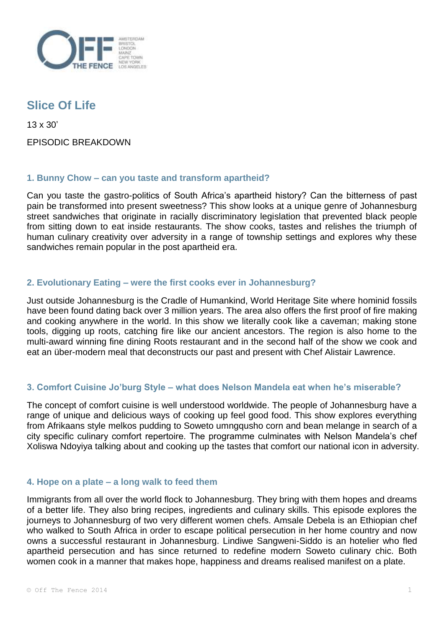

# **Slice Of Life**

13 x 30' EPISODIC BREAKDOWN

## **1. Bunny Chow – can you taste and transform apartheid?**

Can you taste the gastro-politics of South Africa's apartheid history? Can the bitterness of past pain be transformed into present sweetness? This show looks at a unique genre of Johannesburg street sandwiches that originate in racially discriminatory legislation that prevented black people from sitting down to eat inside restaurants. The show cooks, tastes and relishes the triumph of human culinary creativity over adversity in a range of township settings and explores why these sandwiches remain popular in the post apartheid era.

## **2. Evolutionary Eating – were the first cooks ever in Johannesburg?**

Just outside Johannesburg is the Cradle of Humankind, World Heritage Site where hominid fossils have been found dating back over 3 million years. The area also offers the first proof of fire making and cooking anywhere in the world. In this show we literally cook like a caveman; making stone tools, digging up roots, catching fire like our ancient ancestors. The region is also home to the multi-award winning fine dining Roots restaurant and in the second half of the show we cook and eat an über-modern meal that deconstructs our past and present with Chef Alistair Lawrence.

## **3. Comfort Cuisine Jo'burg Style – what does Nelson Mandela eat when he's miserable?**

The concept of comfort cuisine is well understood worldwide. The people of Johannesburg have a range of unique and delicious ways of cooking up feel good food. This show explores everything from Afrikaans style melkos pudding to Soweto umngqusho corn and bean melange in search of a city specific culinary comfort repertoire. The programme culminates with Nelson Mandela's chef Xoliswa Ndoyiya talking about and cooking up the tastes that comfort our national icon in adversity.

## **4. Hope on a plate – a long walk to feed them**

Immigrants from all over the world flock to Johannesburg. They bring with them hopes and dreams of a better life. They also bring recipes, ingredients and culinary skills. This episode explores the journeys to Johannesburg of two very different women chefs. Amsale Debela is an Ethiopian chef who walked to South Africa in order to escape political persecution in her home country and now owns a successful restaurant in Johannesburg. Lindiwe Sangweni-Siddo is an hotelier who fled apartheid persecution and has since returned to redefine modern Soweto culinary chic. Both women cook in a manner that makes hope, happiness and dreams realised manifest on a plate.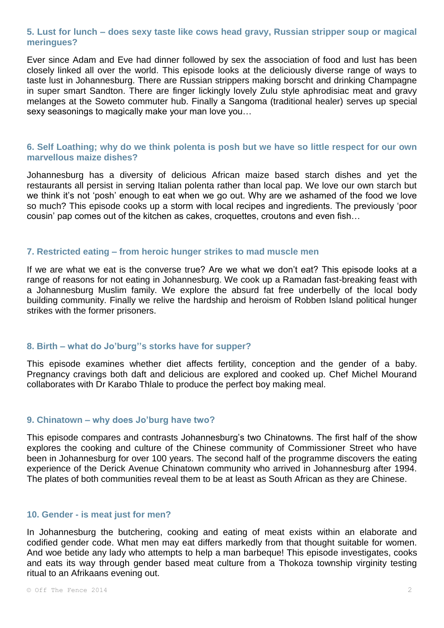## **5. Lust for lunch – does sexy taste like cows head gravy, Russian stripper soup or magical meringues?**

Ever since Adam and Eve had dinner followed by sex the association of food and lust has been closely linked all over the world. This episode looks at the deliciously diverse range of ways to taste lust in Johannesburg. There are Russian strippers making borscht and drinking Champagne in super smart Sandton. There are finger lickingly lovely Zulu style aphrodisiac meat and gravy melanges at the Soweto commuter hub. Finally a Sangoma (traditional healer) serves up special sexy seasonings to magically make your man love you…

## **6. Self Loathing; why do we think polenta is posh but we have so little respect for our own marvellous maize dishes?**

Johannesburg has a diversity of delicious African maize based starch dishes and yet the restaurants all persist in serving Italian polenta rather than local pap. We love our own starch but we think it's not 'posh' enough to eat when we go out. Why are we ashamed of the food we love so much? This episode cooks up a storm with local recipes and ingredients. The previously 'poor cousin' pap comes out of the kitchen as cakes, croquettes, croutons and even fish…

#### **7. Restricted eating – from heroic hunger strikes to mad muscle men**

If we are what we eat is the converse true? Are we what we don't eat? This episode looks at a range of reasons for not eating in Johannesburg. We cook up a Ramadan fast-breaking feast with a Johannesburg Muslim family. We explore the absurd fat free underbelly of the local body building community. Finally we relive the hardship and heroism of Robben Island political hunger strikes with the former prisoners.

#### **8. Birth – what do Jo'burg''s storks have for supper?**

This episode examines whether diet affects fertility, conception and the gender of a baby. Pregnancy cravings both daft and delicious are explored and cooked up. Chef Michel Mourand collaborates with Dr Karabo Thlale to produce the perfect boy making meal.

#### **9. Chinatown – why does Jo'burg have two?**

This episode compares and contrasts Johannesburg's two Chinatowns. The first half of the show explores the cooking and culture of the Chinese community of Commissioner Street who have been in Johannesburg for over 100 years. The second half of the programme discovers the eating experience of the Derick Avenue Chinatown community who arrived in Johannesburg after 1994. The plates of both communities reveal them to be at least as South African as they are Chinese.

#### **10. Gender - is meat just for men?**

In Johannesburg the butchering, cooking and eating of meat exists within an elaborate and codified gender code. What men may eat differs markedly from that thought suitable for women. And woe betide any lady who attempts to help a man barbeque! This episode investigates, cooks and eats its way through gender based meat culture from a Thokoza township virginity testing ritual to an Afrikaans evening out.